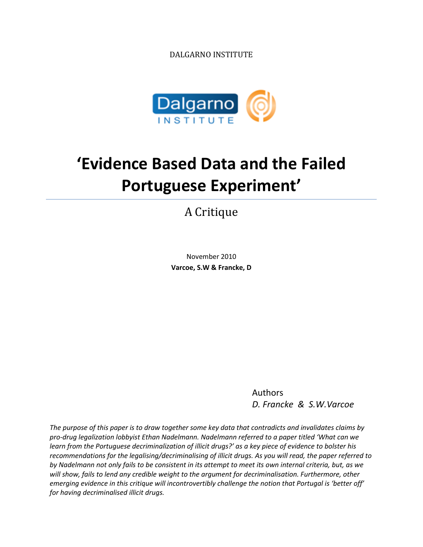DALGARNO INSTITUTE



# **'Evidence Based Data and the Failed Portuguese Experiment'**

A Critique

November 2010 **Varcoe, S.W & Francke, D**

> Authors *D. Francke & S.W.Varcoe*

*The purpose of this paper is to draw together some key data that contradicts and invalidates claims by pro-drug legalization lobbyist Ethan Nadelmann. Nadelmann referred to a paper titled 'What can we learn from the Portuguese decriminalization of illicit drugs?' as a key piece of evidence to bolster his recommendations for the legalising/decriminalising of illicit drugs. As you will read, the paper referred to by Nadelmann not only fails to be consistent in its attempt to meet its own internal criteria, but, as we will show, fails to lend any credible weight to the argument for decriminalisation. Furthermore, other emerging evidence in this critique will incontrovertibly challenge the notion that Portugal is 'better off' for having decriminalised illicit drugs.*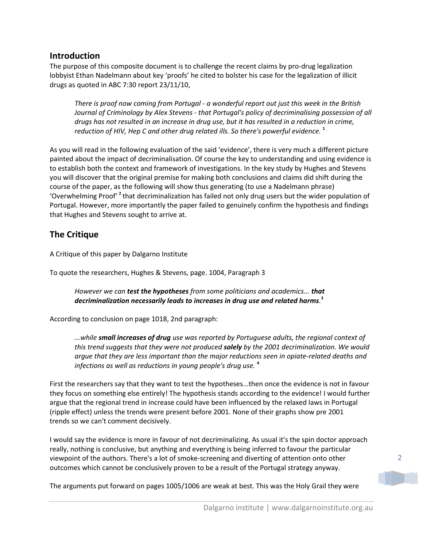# **Introduction**

The purpose of this composite document is to challenge the recent claims by pro-drug legalization lobbyist Ethan Nadelmann about key 'proofs' he cited to bolster his case for the legalization of illicit drugs as quoted in ABC 7:30 report 23/11/10,

*There is proof now coming from Portugal - a wonderful report out just this week in the British Journal of Criminology by Alex Stevens - that Portugal's policy of decriminalising possession of all drugs has not resulted in an increase in drug use, but it has resulted in a reduction in crime, reduction of HIV, Hep C and other drug related ills. So there's powerful evidence.* **<sup>1</sup>**

As you will read in the following evaluation of the said 'evidence', there is very much a different picture painted about the impact of decriminalisation. Of course the key to understanding and using evidence is to establish both the context and framework of investigations. In the key study by Hughes and Stevens you will discover that the original premise for making both conclusions and claims did shift during the course of the paper, as the following will show thus generating (to use a Nadelmann phrase) 'Overwhelming Proof'<sup>2</sup> that decriminalization has failed not only drug users but the wider population of Portugal. However, more importantly the paper failed to genuinely confirm the hypothesis and findings that Hughes and Stevens sought to arrive at.

# **The Critique**

A Critique of this paper by Dalgarno Institute

To quote the researchers, Hughes & Stevens, page. 1004, Paragraph 3

# *However we can test the hypotheses from some politicians and academics... that decriminalization necessarily leads to increases in drug use and related harms.* **3**

According to conclusion on page 1018, 2nd paragraph:

*...while small increases of drug use was reported by Portuguese adults, the regional context of this trend suggests that they were not produced solely by the 2001 decriminalization. We would argue that they are less important than the major reductions seen in opiate-related deaths and infections as well as reductions in young people's drug use.* **<sup>4</sup>**

First the researchers say that they want to test the hypotheses...then once the evidence is not in favour they focus on something else entirely! The hypothesis stands according to the evidence! I would further argue that the regional trend in increase could have been influenced by the relaxed laws in Portugal (ripple effect) unless the trends were present before 2001. None of their graphs show pre 2001 trends so we can't comment decisively.

I would say the evidence is more in favour of not decriminalizing. As usual it's the spin doctor approach really, nothing is conclusive, but anything and everything is being inferred to favour the particular viewpoint of the authors. There's a lot of smoke-screening and diverting of attention onto other outcomes which cannot be conclusively proven to be a result of the Portugal strategy anyway.

The arguments put forward on pages 1005/1006 are weak at best. This was the Holy Grail they were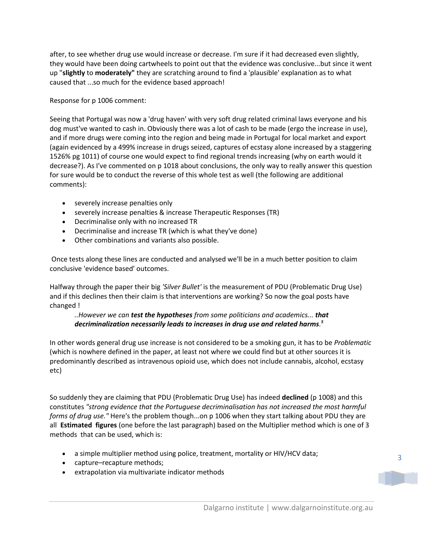after, to see whether drug use would increase or decrease. I'm sure if it had decreased even slightly, they would have been doing cartwheels to point out that the evidence was conclusive...but since it went up "**slightly** to **moderately"** they are scratching around to find a 'plausible' explanation as to what caused that ...so much for the evidence based approach!

Response for p 1006 comment:

Seeing that Portugal was now a 'drug haven' with very soft drug related criminal laws everyone and his dog must've wanted to cash in. Obviously there was a lot of cash to be made (ergo the increase in use), and if more drugs were coming into the region and being made in Portugal for local market and export (again evidenced by a 499% increase in drugs seized, captures of ecstasy alone increased by a staggering 1526% pg 1011) of course one would expect to find regional trends increasing (why on earth would it decrease?). As I've commented on p 1018 about conclusions, the only way to really answer this question for sure would be to conduct the reverse of this whole test as well (the following are additional comments):

- severely increase penalties only
- severely increase penalties & increase Therapeutic Responses (TR)
- Decriminalise only with no increased TR
- Decriminalise and increase TR (which is what they've done)
- Other combinations and variants also possible.

Once tests along these lines are conducted and analysed we'll be in a much better position to claim conclusive 'evidence based' outcomes.

Halfway through the paper their big *'Silver Bullet'* is the measurement of PDU (Problematic Drug Use) and if this declines then their claim is that interventions are working? So now the goal posts have changed !

## *..However we can test the hypotheses from some politicians and academics... that decriminalization necessarily leads to increases in drug use and related harms. 5*

In other words general drug use increase is not considered to be a smoking gun, it has to be *Problematic* (which is nowhere defined in the paper, at least not where we could find but at other sources it is predominantly described as intravenous opioid use, which does not include cannabis, alcohol, ecstasy etc)

So suddenly they are claiming that PDU (Problematic Drug Use) has indeed **declined** (p 1008) and this constitutes *"strong evidence that the Portuguese decriminalisation has not increased the most harmful forms of drug use."* Here's the problem though...on p 1006 when they start talking about PDU they are all **Estimated figures** (one before the last paragraph) based on the Multiplier method which is one of 3 methods that can be used, which is:

- a simple multiplier method using police, treatment, mortality or HIV/HCV data;
- capture–recapture methods;
- extrapolation via multivariate indicator methods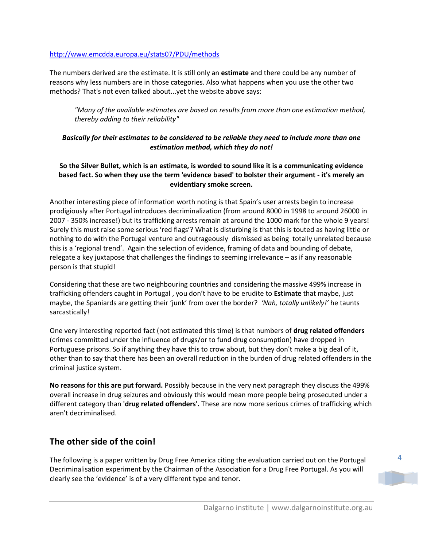## <http://www.emcdda.europa.eu/stats07/PDU/methods>

The numbers derived are the estimate. It is still only an **estimate** and there could be any number of reasons why less numbers are in those categories. Also what happens when you use the other two methods? That's not even talked about...yet the website above says:

*"Many of the available estimates are based on results from more than one estimation method, thereby adding to their reliability"*

# *Basically for their estimates to be considered to be reliable they need to include more than one estimation method, which they do not!*

# **So the Silver Bullet, which is an estimate, is worded to sound like it is a communicating evidence based fact. So when they use the term 'evidence based' to bolster their argument - it's merely an evidentiary smoke screen.**

Another interesting piece of information worth noting is that Spain's user arrests begin to increase prodigiously after Portugal introduces decriminalization (from around 8000 in 1998 to around 26000 in 2007 - 350% increase!) but its trafficking arrests remain at around the 1000 mark for the whole 9 years! Surely this must raise some serious 'red flags'? What is disturbing is that this is touted as having little or nothing to do with the Portugal venture and outrageously dismissed as being totally unrelated because this is a 'regional trend'. Again the selection of evidence, framing of data and bounding of debate, relegate a key juxtapose that challenges the findings to seeming irrelevance – as if any reasonable person is that stupid!

Considering that these are two neighbouring countries and considering the massive 499% increase in trafficking offenders caught in Portugal , you don't have to be erudite to **Estimate** that maybe, just maybe, the Spaniards are getting their 'junk' from over the border? *'Nah, totally unlikely!'* he taunts sarcastically!

One very interesting reported fact (not estimated this time) is that numbers of **drug related offenders**  (crimes committed under the influence of drugs/or to fund drug consumption) have dropped in Portuguese prisons. So if anything they have this to crow about, but they don't make a big deal of it, other than to say that there has been an overall reduction in the burden of drug related offenders in the criminal justice system.

**No reasons for this are put forward.** Possibly because in the very next paragraph they discuss the 499% overall increase in drug seizures and obviously this would mean more people being prosecuted under a different category than **'drug related offenders'.** These are now more serious crimes of trafficking which aren't decriminalised.

# **The other side of the coin!**

The following is a paper written by Drug Free America citing the evaluation carried out on the Portugal Decriminalisation experiment by the Chairman of the Association for a Drug Free Portugal. As you will clearly see the 'evidence' is of a very different type and tenor.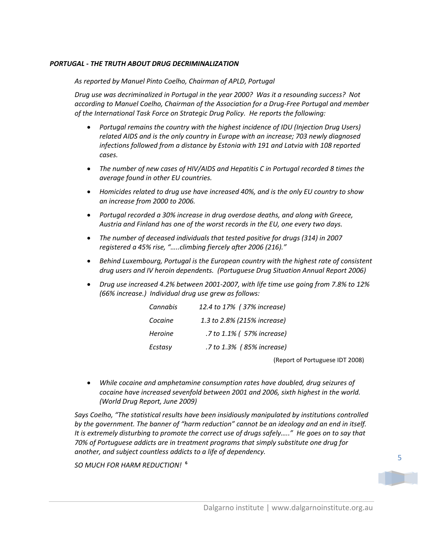#### *PORTUGAL - THE TRUTH ABOUT DRUG DECRIMINALIZATION*

*As reported by Manuel Pinto Coelho, Chairman of APLD, Portugal*

*Drug use was decriminalized in Portugal in the year 2000? Was it a resounding success? Not according to Manuel Coelho, Chairman of the Association for a Drug-Free Portugal and member of the International Task Force on Strategic Drug Policy. He reports the following:*

- *Portugal remains the country with the highest incidence of IDU (Injection Drug Users) related AIDS and is the only country in Europe with an increase; 703 newly diagnosed infections followed from a distance by Estonia with 191 and Latvia with 108 reported cases.*
- *The number of new cases of HIV/AIDS and Hepatitis C in Portugal recorded 8 times the average found in other EU countries.*
- *Homicides related to drug use have increased 40%, and is the only EU country to show an increase from 2000 to 2006.*
- *Portugal recorded a 30% increase in drug overdose deaths, and along with Greece, Austria and Finland has one of the worst records in the EU, one every two days.*
- *The number of deceased individuals that tested positive for drugs (314) in 2007 registered a 45% rise, "…..climbing fiercely after 2006 (216)."*
- *Behind Luxembourg, Portugal is the European country with the highest rate of consistent drug users and IV heroin dependents. (Portuguese Drug Situation Annual Report 2006)*
- *Drug use increased 4.2% between 2001-2007, with life time use going from 7.8% to 12% (66% increase.) Individual drug use grew as follows:*

| Cannabis       | 12.4 to 17% (37% increase)  |
|----------------|-----------------------------|
| Cocaine        | 1.3 to 2.8% (215% increase) |
| <b>Heroine</b> | .7 to 1.1% ( 57% increase)  |
| Ecstasy        | .7 to 1.3% (85% increase)   |

(Report of Portuguese IDT 2008)

 *While cocaine and amphetamine consumption rates have doubled, drug seizures of cocaine have increased sevenfold between 2001 and 2006, sixth highest in the world. (World Drug Report, June 2009)*

*Says Coelho, "The statistical results have been insidiously manipulated by institutions controlled by the government. The banner of "harm reduction" cannot be an ideology and an end in itself. It is extremely disturbing to promote the correct use of drugs safely….." He goes on to say that 70% of Portuguese addicts are in treatment programs that simply substitute one drug for another, and subject countless addicts to a life of dependency.*

*SO MUCH FOR HARM REDUCTION!*  **6**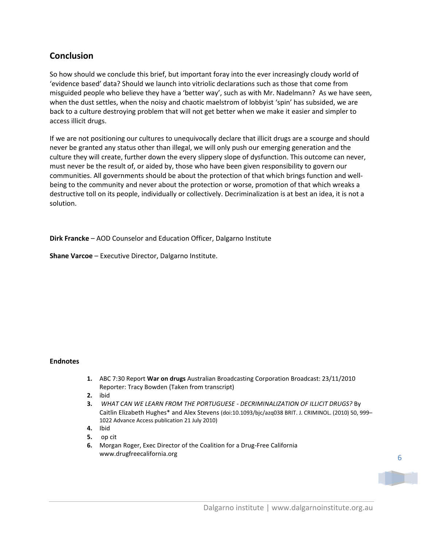# **Conclusion**

So how should we conclude this brief, but important foray into the ever increasingly cloudy world of 'evidence based' data? Should we launch into vitriolic declarations such as those that come from misguided people who believe they have a 'better way', such as with Mr. Nadelmann? As we have seen, when the dust settles, when the noisy and chaotic maelstrom of lobbyist 'spin' has subsided, we are back to a culture destroying problem that will not get better when we make it easier and simpler to access illicit drugs.

If we are not positioning our cultures to unequivocally declare that illicit drugs are a scourge and should never be granted any status other than illegal, we will only push our emerging generation and the culture they will create, further down the every slippery slope of dysfunction. This outcome can never, must never be the result of, or aided by, those who have been given responsibility to govern our communities. All governments should be about the protection of that which brings function and wellbeing to the community and never about the protection or worse, promotion of that which wreaks a destructive toll on its people, individually or collectively. Decriminalization is at best an idea, it is not a solution.

**Dirk Francke** – AOD Counselor and Education Officer, Dalgarno Institute

**Shane Varcoe** – Executive Director, Dalgarno Institute.

#### **Endnotes**

- **1.** ABC 7:30 Report **War on drugs** Australian Broadcasting Corporation Broadcast: 23/11/2010 Reporter: Tracy Bowden (Taken from transcript)
- **2.** ibid
- **3.** *WHAT CAN WE LEARN FROM THE PORTUGUESE - DECRIMINALIZATION OF ILLICIT DRUGS?* By Caitlin Elizabeth Hughes\* and Alex Stevens (doi:10.1093/bjc/azq038 BRIT. J. CRIMINOL. (2010) 50, 999– 1022 Advance Access publication 21 July 2010)
- **4.** Ibid
- **5.** op cit
- **6.** Morgan Roger, Exec Director of the Coalition for a Drug-Free California www.drugfreecalifornia.org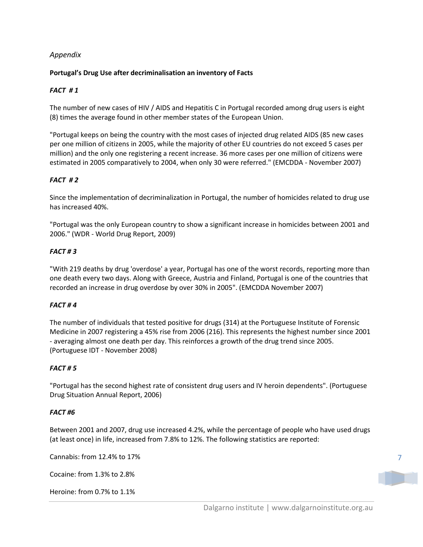# *Appendix*

## **Portugal's Drug Use after decriminalisation an inventory of Facts**

# *FACT # 1*

The number of new cases of HIV / AIDS and Hepatitis C in Portugal recorded among drug users is eight (8) times the average found in other member states of the European Union.

"Portugal keeps on being the country with the most cases of injected drug related AIDS (85 new cases per one million of citizens in 2005, while the majority of other EU countries do not exceed 5 cases per million) and the only one registering a recent increase. 36 more cases per one million of citizens were estimated in 2005 comparatively to 2004, when only 30 were referred." (EMCDDA - November 2007)

## *FACT # 2*

Since the implementation of decriminalization in Portugal, the number of homicides related to drug use has increased 40%.

"Portugal was the only European country to show a significant increase in homicides between 2001 and 2006." (WDR - World Drug Report, 2009)

#### *FACT # 3*

"With 219 deaths by drug 'overdose' a year, Portugal has one of the worst records, reporting more than one death every two days. Along with Greece, Austria and Finland, Portugal is one of the countries that recorded an increase in drug overdose by over 30% in 2005". (EMCDDA November 2007)

#### *FACT # 4*

The number of individuals that tested positive for drugs (314) at the Portuguese Institute of Forensic Medicine in 2007 registering a 45% rise from 2006 (216). This represents the highest number since 2001 - averaging almost one death per day. This reinforces a growth of the drug trend since 2005. (Portuguese IDT - November 2008)

#### *FACT # 5*

"Portugal has the second highest rate of consistent drug users and IV heroin dependents". (Portuguese Drug Situation Annual Report, 2006)

#### *FACT #6*

Between 2001 and 2007, drug use increased 4.2%, while the percentage of people who have used drugs (at least once) in life, increased from 7.8% to 12%. The following statistics are reported:

Cannabis: from 12.4% to 17%

Cocaine: from 1.3% to 2.8%

Heroine: from 0.7% to 1.1%